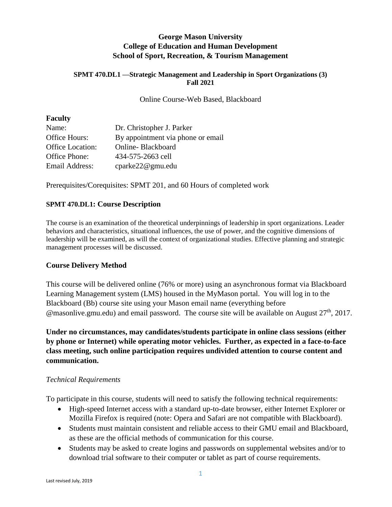## **George Mason University College of Education and Human Development School of Sport, Recreation, & Tourism Management**

#### **SPMT 470.DL1 —Strategic Management and Leadership in Sport Organizations (3) Fall 2021**

Online Course-Web Based, Blackboard

#### **Faculty**

| Name:                   | Dr. Christopher J. Parker         |
|-------------------------|-----------------------------------|
| Office Hours:           | By appointment via phone or email |
| <b>Office Location:</b> | Online-Blackboard                 |
| Office Phone:           | 434-575-2663 cell                 |
| Email Address:          | cparke22@gmu.edu                  |

Prerequisites/Corequisites: SPMT 201, and 60 Hours of completed work

## **SPMT 470.DL1: Course Description**

The course is an examination of the theoretical underpinnings of leadership in sport organizations. Leader behaviors and characteristics, situational influences, the use of power, and the cognitive dimensions of leadership will be examined, as will the context of organizational studies. Effective planning and strategic management processes will be discussed.

## **Course Delivery Method**

This course will be delivered online (76% or more) using an asynchronous format via Blackboard Learning Management system (LMS) housed in the MyMason portal. You will log in to the Blackboard (Bb) course site using your Mason email name (everything before  $\omega$  masonlive.gmu.edu) and email password. The course site will be available on August 27<sup>th</sup>, 2017.

**Under no circumstances, may candidates/students participate in online class sessions (either by phone or Internet) while operating motor vehicles. Further, as expected in a face-to-face class meeting, such online participation requires undivided attention to course content and communication.**

#### *Technical Requirements*

To participate in this course, students will need to satisfy the following technical requirements:

- High-speed Internet access with a standard up-to-date browser, either Internet Explorer or Mozilla Firefox is required (note: Opera and Safari are not compatible with Blackboard).
- Students must maintain consistent and reliable access to their GMU email and Blackboard, as these are the official methods of communication for this course.
- Students may be asked to create logins and passwords on supplemental websites and/or to download trial software to their computer or tablet as part of course requirements.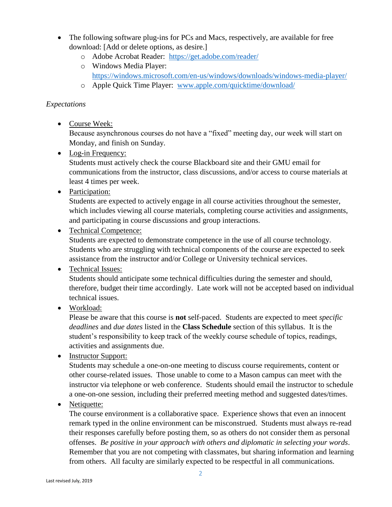- The following software plug-ins for PCs and Macs, respectively, are available for free download: [Add or delete options, as desire.]
	- o Adobe Acrobat Reader: <https://get.adobe.com/reader/>
	- o Windows Media Player: <https://windows.microsoft.com/en-us/windows/downloads/windows-media-player/>
	- o Apple Quick Time Player: [www.apple.com/quicktime/download/](http://www.apple.com/quicktime/download/)

## *Expectations*

• Course Week:

Because asynchronous courses do not have a "fixed" meeting day, our week will start on Monday, and finish on Sunday.

• Log-in Frequency:

Students must actively check the course Blackboard site and their GMU email for communications from the instructor, class discussions, and/or access to course materials at least 4 times per week.

• Participation:

Students are expected to actively engage in all course activities throughout the semester, which includes viewing all course materials, completing course activities and assignments, and participating in course discussions and group interactions.

• Technical Competence:

Students are expected to demonstrate competence in the use of all course technology. Students who are struggling with technical components of the course are expected to seek assistance from the instructor and/or College or University technical services.

• Technical Issues:

Students should anticipate some technical difficulties during the semester and should, therefore, budget their time accordingly. Late work will not be accepted based on individual technical issues.

• Workload:

Please be aware that this course is **not** self-paced. Students are expected to meet *specific deadlines* and *due dates* listed in the **Class Schedule** section of this syllabus. It is the student's responsibility to keep track of the weekly course schedule of topics, readings, activities and assignments due.

• Instructor Support:

Students may schedule a one-on-one meeting to discuss course requirements, content or other course-related issues. Those unable to come to a Mason campus can meet with the instructor via telephone or web conference. Students should email the instructor to schedule a one-on-one session, including their preferred meeting method and suggested dates/times.

• Netiquette:

The course environment is a collaborative space. Experience shows that even an innocent remark typed in the online environment can be misconstrued. Students must always re-read their responses carefully before posting them, so as others do not consider them as personal offenses. *Be positive in your approach with others and diplomatic in selecting your words*. Remember that you are not competing with classmates, but sharing information and learning from others. All faculty are similarly expected to be respectful in all communications.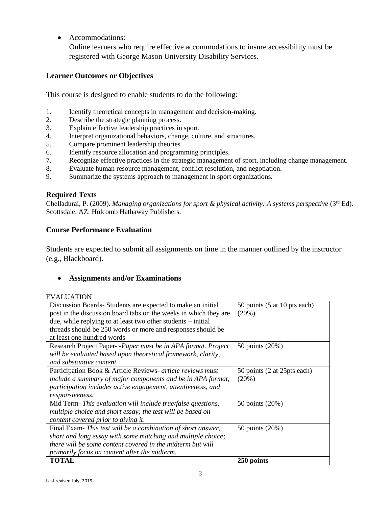• Accommodations:

Online learners who require effective accommodations to insure accessibility must be registered with George Mason University Disability Services.

## **Learner Outcomes or Objectives**

This course is designed to enable students to do the following:

- 1. Identify theoretical concepts in management and decision-making.
- 2. Describe the strategic planning process.
- 3. Explain effective leadership practices in sport.
- 4. Interpret organizational behaviors, change, culture, and structures.
- 5. Compare prominent leadership theories.
- 6. Identify resource allocation and programming principles.
- 7. Recognize effective practices in the strategic management of sport, including change management.
- 8. Evaluate human resource management, conflict resolution, and negotiation.
- 9. Summarize the systems approach to management in sport organizations.

## **Required Texts**

Chelladurai, P. (2009). *Managing organizations for sport & physical activity: A systems perspective* (3rd Ed). Scottsdale, AZ: Holcomb Hathaway Publishers.

## **Course Performance Evaluation**

Students are expected to submit all assignments on time in the manner outlined by the instructor (e.g., Blackboard).

## • **Assignments and/or Examinations**

#### EVALUATION

| Discussion Boards-Students are expected to make an initial       | 50 points (5 at 10 pts each) |
|------------------------------------------------------------------|------------------------------|
| post in the discussion board tabs on the weeks in which they are | (20%)                        |
| due, while replying to at least two other students $-$ initial   |                              |
| threads should be 250 words or more and responses should be      |                              |
| at least one hundred words                                       |                              |
| Research Project Paper--Paper must be in APA format. Project     | 50 points (20%)              |
| will be evaluated based upon theoretical framework, clarity,     |                              |
| and substantive content.                                         |                              |
| Participation Book & Article Reviews- article reviews must       | 50 points (2 at 25pts each)  |
| include a summary of major components and be in APA format;      | $(20\%)$                     |
| participation includes active engagement, attentiveness, and     |                              |
| responsiveness.                                                  |                              |
| Mid Term- This evaluation will include true/false questions,     | 50 points (20%)              |
| multiple choice and short essay; the test will be based on       |                              |
| content covered prior to giving it.                              |                              |
| Final Exam-This test will be a combination of short answer,      | 50 points (20%)              |
| short and long essay with some matching and multiple choice;     |                              |
| there will be some content covered in the midterm but will       |                              |
| primarily focus on content after the midterm.                    |                              |
| <b>TOTAL</b>                                                     | 250 points                   |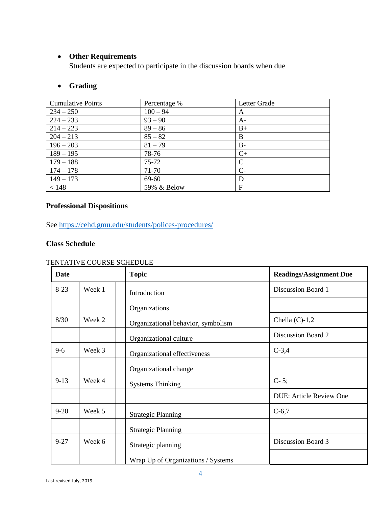## • **Other Requirements**

Students are expected to participate in the discussion boards when due

## • **Grading**

| <b>Cumulative Points</b> | Percentage % | Letter Grade |
|--------------------------|--------------|--------------|
| $234 - 250$              | $100 - 94$   | A            |
| $224 - 233$              | $93 - 90$    | $A-$         |
| $214 - 223$              | $89 - 86$    | $B+$         |
| $204 - 213$              | $85 - 82$    | B            |
| $196 - 203$              | $81 - 79$    | $B -$        |
| $189 - 195$              | 78-76        | $C+$         |
| $179 - 188$              | $75 - 72$    | C            |
| $174 - 178$              | 71-70        | $C-$         |
| $149 - 173$              | 69-60        | D            |
| < 148                    | 59% & Below  | F            |

# **Professional Dispositions**

See<https://cehd.gmu.edu/students/polices-procedures/>

## **Class Schedule**

#### TENTATIVE COURSE SCHEDULE

| <b>Date</b> |        | <b>Topic</b>                       | <b>Readings/Assignment Due</b> |
|-------------|--------|------------------------------------|--------------------------------|
| $8-23$      | Week 1 | Introduction                       | Discussion Board 1             |
|             |        | Organizations                      |                                |
| 8/30        | Week 2 | Organizational behavior, symbolism | Chella $(C)-1,2$               |
|             |        | Organizational culture             | Discussion Board 2             |
| $9 - 6$     | Week 3 | Organizational effectiveness       | $C-3,4$                        |
|             |        | Organizational change              |                                |
| $9-13$      | Week 4 | <b>Systems Thinking</b>            | $C-5;$                         |
|             |        |                                    | <b>DUE: Article Review One</b> |
| $9 - 20$    | Week 5 | <b>Strategic Planning</b>          | $C-6,7$                        |
|             |        | <b>Strategic Planning</b>          |                                |
| $9 - 27$    | Week 6 | Strategic planning                 | Discussion Board 3             |
|             |        | Wrap Up of Organizations / Systems |                                |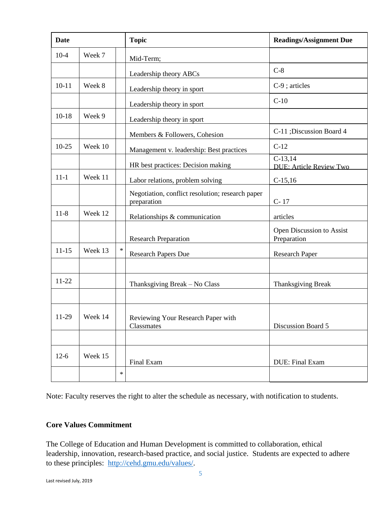| <b>Date</b> |         |        | <b>Topic</b>                                                    | <b>Readings/Assignment Due</b>              |
|-------------|---------|--------|-----------------------------------------------------------------|---------------------------------------------|
| $10-4$      | Week 7  |        | Mid-Term;                                                       |                                             |
|             |         |        | Leadership theory ABCs                                          | $C-8$                                       |
| $10 - 11$   | Week 8  |        | Leadership theory in sport                                      | C-9; articles                               |
|             |         |        | Leadership theory in sport                                      | $C-10$                                      |
| $10-18$     | Week 9  |        | Leadership theory in sport                                      |                                             |
|             |         |        | Members & Followers, Cohesion                                   | C-11; Discussion Board 4                    |
| $10-25$     | Week 10 |        | Management v. leadership: Best practices                        | $C-12$                                      |
|             |         |        | HR best practices: Decision making                              | $C-13,14$<br><b>DUE: Article Review Two</b> |
| $11 - 1$    | Week 11 |        | Labor relations, problem solving                                | $C-15,16$                                   |
|             |         |        | Negotiation, conflict resolution; research paper<br>preparation | $C-17$                                      |
| $11 - 8$    | Week 12 |        | Relationships & communication                                   | articles                                    |
|             |         |        | <b>Research Preparation</b>                                     | Open Discussion to Assist<br>Preparation    |
| $11 - 15$   | Week 13 | $\ast$ | <b>Research Papers Due</b>                                      | <b>Research Paper</b>                       |
|             |         |        |                                                                 |                                             |
| 11-22       |         |        | Thanksgiving Break - No Class                                   | Thanksgiving Break                          |
|             |         |        |                                                                 |                                             |
| 11-29       | Week 14 |        | Reviewing Your Research Paper with<br>Classmates                | Discussion Board 5                          |
|             |         |        |                                                                 |                                             |
| $12-6$      | Week 15 |        | Final Exam                                                      | DUE: Final Exam                             |
|             |         | $\ast$ |                                                                 |                                             |

Note: Faculty reserves the right to alter the schedule as necessary, with notification to students.

#### **Core Values Commitment**

The College of Education and Human Development is committed to collaboration, ethical leadership, innovation, research-based practice, and social justice. Students are expected to adhere to these principles: [http://cehd.gmu.edu/values/.](http://cehd.gmu.edu/values/)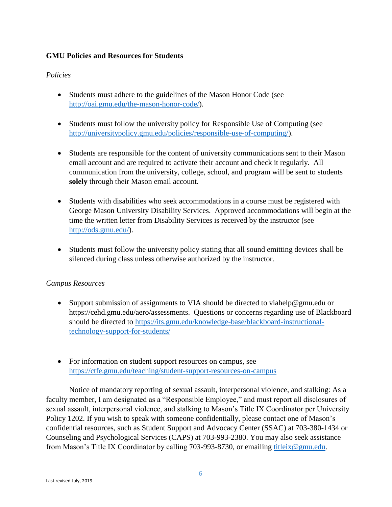### **GMU Policies and Resources for Students**

### *Policies*

- Students must adhere to the guidelines of the Mason Honor Code (see [http://oai.gmu.edu/the-mason-honor-code/\)](http://oai.gmu.edu/the-mason-honor-code/).
- Students must follow the university policy for Responsible Use of Computing (see [http://universitypolicy.gmu.edu/policies/responsible-use-of-computing/\)](http://universitypolicy.gmu.edu/policies/responsible-use-of-computing/).
- Students are responsible for the content of university communications sent to their Mason email account and are required to activate their account and check it regularly. All communication from the university, college, school, and program will be sent to students **solely** through their Mason email account.
- Students with disabilities who seek accommodations in a course must be registered with George Mason University Disability Services. Approved accommodations will begin at the time the written letter from Disability Services is received by the instructor (see [http://ods.gmu.edu/\)](http://ods.gmu.edu/).
- Students must follow the university policy stating that all sound emitting devices shall be silenced during class unless otherwise authorized by the instructor.

## *Campus Resources*

- Support submission of assignments to VIA should be directed to viahelp@gmu.edu or https://cehd.gmu.edu/aero/assessments. Questions or concerns regarding use of Blackboard should be directed to [https://its.gmu.edu/knowledge-base/blackboard-instructional](https://its.gmu.edu/knowledge-base/blackboard-instructional-technology-support-for-students/)[technology-support-for-students/](https://its.gmu.edu/knowledge-base/blackboard-instructional-technology-support-for-students/)
- For information on student support resources on campus, see <https://ctfe.gmu.edu/teaching/student-support-resources-on-campus>

Notice of mandatory reporting of sexual assault, interpersonal violence, and stalking: As a faculty member, I am designated as a "Responsible Employee," and must report all disclosures of sexual assault, interpersonal violence, and stalking to Mason's Title IX Coordinator per University Policy 1202. If you wish to speak with someone confidentially, please contact one of Mason's confidential resources, such as Student Support and Advocacy Center (SSAC) at 703-380-1434 or Counseling and Psychological Services (CAPS) at 703-993-2380. You may also seek assistance from Mason's Title IX Coordinator by calling 703-993-8730, or emailing [titleix@gmu.edu.](mailto:titleix@gmu.edu)